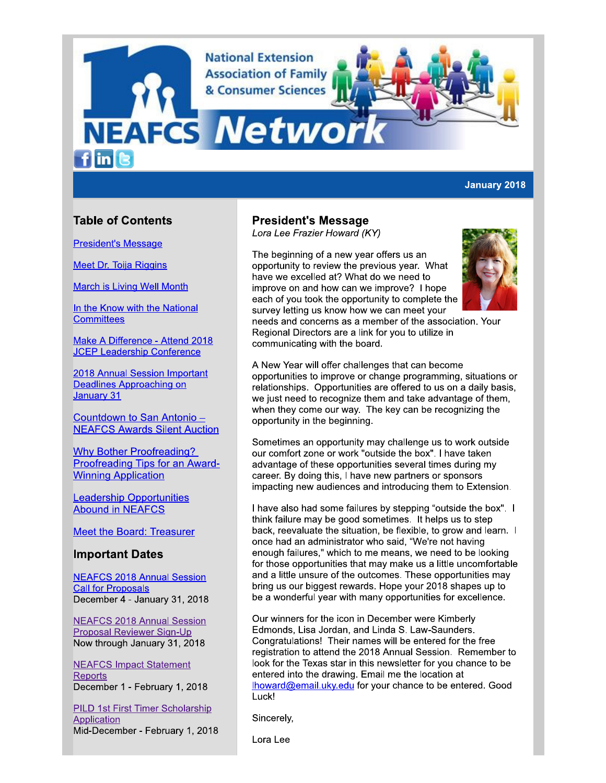**National Extension Association of Family** & Consumer Sciences

# **NEAFCS Netwo**  $f$  in  $\left[ \mathbf{e}\right]$

## **January 2018**

# **Table of Contents**

**President's Message** 

**Meet Dr. Toija Riggins** 

**March is Living Well Month** 

In the Know with the National **Committees** 

Make A Difference - Attend 2018 **JCEP Leadership Conference** 

2018 Annual Session Important **Deadlines Approaching on** January 31

Countdown to San Antonio -**NEAFCS Awards Silent Auction** 

**Why Bother Proofreading?** Proofreading Tips for an Award-**Winning Application** 

**Leadership Opportunities Abound in NEAFCS** 

**Meet the Board: Treasurer** 

## **Important Dates**

**NEAFCS 2018 Annual Session Call for Proposals** December 4 - January 31, 2018

**NEAFCS 2018 Annual Session Proposal Reviewer Sign-Up** Now through January 31, 2018

**NEAFCS Impact Statement Reports** December 1 - February 1, 2018

**PILD 1st First Timer Scholarship** Application Mid-December - February 1, 2018

# **President's Message**

Lora Lee Frazier Howard (KY)

The beginning of a new year offers us an opportunity to review the previous year. What have we excelled at? What do we need to improve on and how can we improve? I hope each of you took the opportunity to complete the survey letting us know how we can meet your



needs and concerns as a member of the association. Your Regional Directors are a link for you to utilize in communicating with the board.

A New Year will offer challenges that can become opportunities to improve or change programming, situations or relationships. Opportunities are offered to us on a daily basis, we just need to recognize them and take advantage of them, when they come our way. The key can be recognizing the opportunity in the beginning.

Sometimes an opportunity may challenge us to work outside our comfort zone or work "outside the box". I have taken advantage of these opportunities several times during my career. By doing this, I have new partners or sponsors impacting new audiences and introducing them to Extension.

I have also had some failures by stepping "outside the box". I think failure may be good sometimes. It helps us to step back, reevaluate the situation, be flexible, to grow and learn. I once had an administrator who said, "We're not having enough failures," which to me means, we need to be looking for those opportunities that may make us a little uncomfortable and a little unsure of the outcomes. These opportunities may bring us our biggest rewards. Hope your 2018 shapes up to be a wonderful year with many opportunities for excellence.

Our winners for the icon in December were Kimberly Edmonds, Lisa Jordan, and Linda S. Law-Saunders. Congratulations! Their names will be entered for the free registration to attend the 2018 Annual Session. Remember to look for the Texas star in this newsletter for you chance to be entered into the drawing. Email me the location at Ihoward@email.uky.edu for your chance to be entered. Good Luck!

Sincerely,

Lora Lee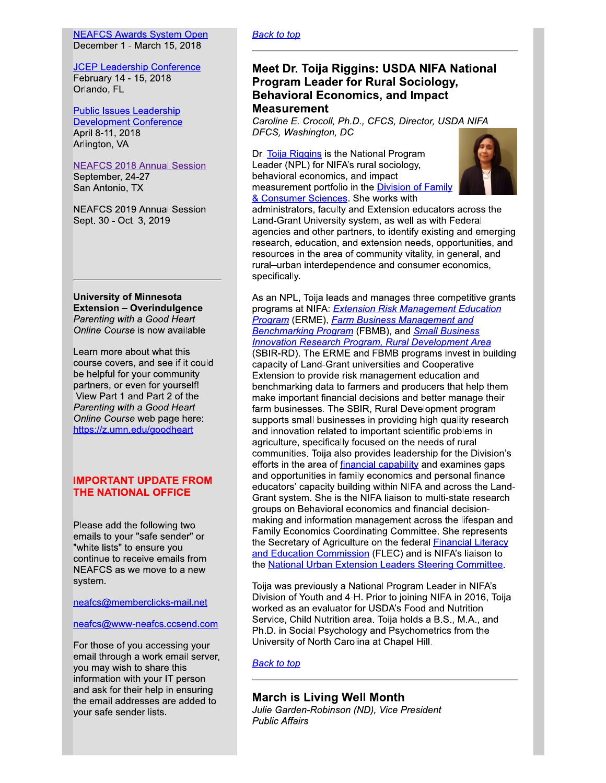#### **NEAFCS Awards System Open** December 1 - March 15, 2018

**JCEP Leadership Conference** February 14 - 15, 2018 Orlando, FL

**Public Issues Leadership Development Conference** April 8-11, 2018 Arlington, VA

## **NEAFCS 2018 Annual Session**

September, 24-27 San Antonio, TX

**NEAFCS 2019 Annual Session** Sept. 30 - Oct. 3, 2019

**University of Minnesota Extension - Overindulgence** Parenting with a Good Heart Online Course is now available

Learn more about what this course covers, and see if it could be helpful for your community partners, or even for yourself! View Part 1 and Part 2 of the Parenting with a Good Heart Online Course web page here: https://z.umn.edu/goodheart

## **IMPORTANT UPDATE FROM THE NATIONAL OFFICE**

Please add the following two emails to your "safe sender" or "white lists" to ensure you continue to receive emails from NEAFCS as we move to a new system.

neafcs@memberclicks-mail.net

neafcs@www-neafcs.ccsend.com

For those of you accessing your email through a work email server, you may wish to share this information with your IT person and ask for their help in ensuring the email addresses are added to your safe sender lists.

#### **Back to top**

# Meet Dr. Toija Riggins: USDA NIFA National **Program Leader for Rural Sociology, Behavioral Economics, and Impact Measurement**

Caroline E. Crocoll, Ph.D., CFCS, Director, USDA NIFA DFCS, Washington, DC

Dr. Toija Riggins is the National Program Leader (NPL) for NIFA's rural sociology, behavioral economics, and impact measurement portfolio in the **Division of Family** & Consumer Sciences. She works with



administrators, faculty and Extension educators across the Land-Grant University system, as well as with Federal agencies and other partners, to identify existing and emerging research, education, and extension needs, opportunities, and resources in the area of community vitality, in general, and rural-urban interdependence and consumer economics, specifically.

As an NPL, Toija leads and manages three competitive grants programs at NIFA: Extension Risk Management Education **Program** (ERME), Farm Business Management and **Benchmarking Program (FBMB), and Small Business Innovation Research Program, Rural Development Area** (SBIR-RD). The ERME and FBMB programs invest in building capacity of Land-Grant universities and Cooperative Extension to provide risk management education and benchmarking data to farmers and producers that help them make important financial decisions and better manage their farm businesses. The SBIR, Rural Development program supports small businesses in providing high quality research and innovation related to important scientific problems in agriculture, specifically focused on the needs of rural communities. Toija also provides leadership for the Division's efforts in the area of financial capability and examines gaps and opportunities in family economics and personal finance educators' capacity building within NIFA and across the Land-Grant system. She is the NIFA liaison to multi-state research groups on Behavioral economics and financial decisionmaking and information management across the lifespan and Family Economics Coordinating Committee. She represents the Secretary of Agriculture on the federal **Financial Literacy** and Education Commission (FLEC) and is NIFA's liaison to the National Urban Extension Leaders Steering Committee.

Toija was previously a National Program Leader in NIFA's Division of Youth and 4-H. Prior to joining NIFA in 2016, Toija worked as an evaluator for USDA's Food and Nutrition Service, Child Nutrition area. Toija holds a B.S., M.A., and Ph.D. in Social Psychology and Psychometrics from the University of North Carolina at Chapel Hill.

## **Back to top**

## **March is Living Well Month**

Julie Garden-Robinson (ND), Vice President **Public Affairs**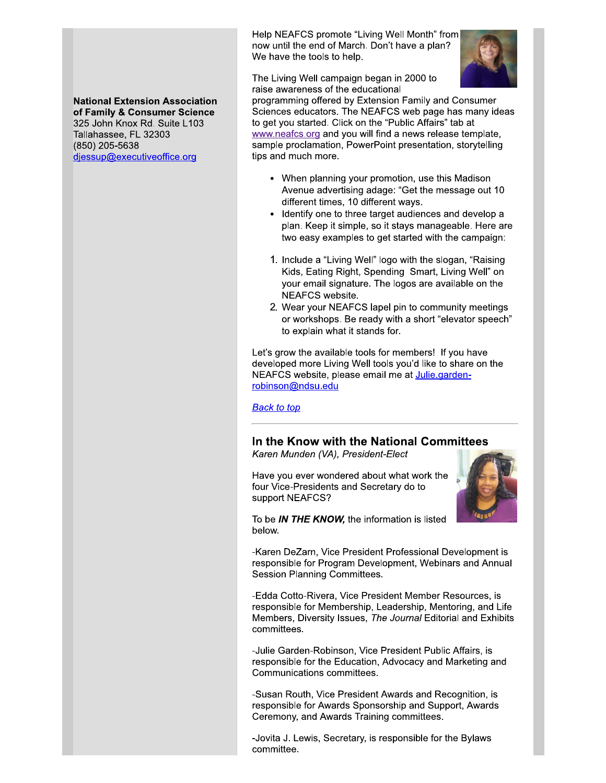Help NEAFCS promote "Living Well Month" from now until the end of March. Don't have a plan? We have the tools to help.



The Living Well campaign began in 2000 to raise awareness of the educational

programming offered by Extension Family and Consumer Sciences educators. The NEAFCS web page has many ideas to get you started. Click on the "Public Affairs" tab at www.neafcs.org and you will find a news release template, sample proclamation, PowerPoint presentation, storytelling tips and much more.

- When planning your promotion, use this Madison Avenue advertising adage: "Get the message out 10 different times, 10 different ways.
- Identify one to three target audiences and develop a plan. Keep it simple, so it stays manageable. Here are two easy examples to get started with the campaign:
- 1. Include a "Living Well" logo with the slogan, "Raising Kids, Eating Right, Spending Smart, Living Well" on your email signature. The logos are available on the NEAFCS website.
- 2. Wear your NEAFCS lapel pin to community meetings or workshops. Be ready with a short "elevator speech" to explain what it stands for.

Let's grow the available tools for members! If you have developed more Living Well tools you'd like to share on the NEAFCS website, please email me at Julie.gardenrobinson@ndsu.edu

**Back to top** 

# In the Know with the National Committees

Karen Munden (VA), President-Elect

Have you ever wondered about what work the four Vice-Presidents and Secretary do to support NEAFCS?



To be IN THE KNOW, the information is listed below.

-Karen DeZarn, Vice President Professional Development is responsible for Program Development, Webinars and Annual Session Planning Committees.

-Edda Cotto-Rivera, Vice President Member Resources, is responsible for Membership, Leadership, Mentoring, and Life Members, Diversity Issues, The Journal Editorial and Exhibits committees.

-Julie Garden-Robinson, Vice President Public Affairs, is responsible for the Education, Advocacy and Marketing and Communications committees.

-Susan Routh, Vice President Awards and Recognition, is responsible for Awards Sponsorship and Support, Awards Ceremony, and Awards Training committees.

-Jovita J. Lewis, Secretary, is responsible for the Bylaws committee.

## **National Extension Association** of Family & Consumer Science 325 John Knox Rd. Suite L103 Tallahassee, FL 32303 (850) 205-5638 djessup@executiveoffice.org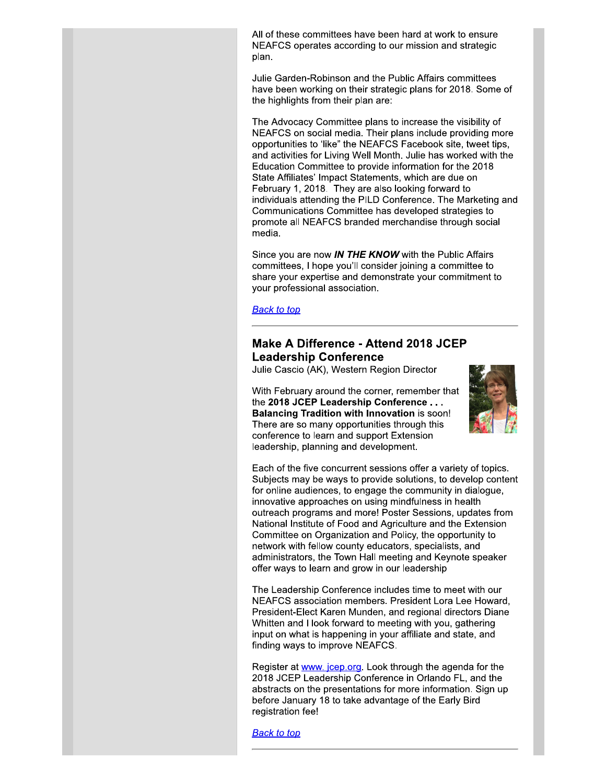All of these committees have been hard at work to ensure NEAFCS operates according to our mission and strategic plan.

Julie Garden-Robinson and the Public Affairs committees have been working on their strategic plans for 2018. Some of the highlights from their plan are:

The Advocacy Committee plans to increase the visibility of NEAFCS on social media. Their plans include providing more opportunities to 'like" the NEAFCS Facebook site, tweet tips, and activities for Living Well Month. Julie has worked with the Education Committee to provide information for the 2018 State Affiliates' Impact Statements, which are due on February 1, 2018. They are also looking forward to individuals attending the PILD Conference. The Marketing and Communications Committee has developed strategies to promote all NEAFCS branded merchandise through social media.

Since you are now IN THE KNOW with the Public Affairs committees, I hope you'll consider joining a committee to share your expertise and demonstrate your commitment to your professional association.

**Back to top** 

# Make A Difference - Attend 2018 JCEP **Leadership Conference**

Julie Cascio (AK), Western Region Director

With February around the corner, remember that the 2018 JCEP Leadership Conference . . . **Balancing Tradition with Innovation is soon!** There are so many opportunities through this conference to learn and support Extension leadership, planning and development.



Each of the five concurrent sessions offer a variety of topics. Subjects may be ways to provide solutions, to develop content for online audiences, to engage the community in dialogue, innovative approaches on using mindfulness in health outreach programs and more! Poster Sessions, updates from National Institute of Food and Agriculture and the Extension Committee on Organization and Policy, the opportunity to network with fellow county educators, specialists, and administrators, the Town Hall meeting and Keynote speaker offer ways to learn and grow in our leadership

The Leadership Conference includes time to meet with our NEAFCS association members. President Lora Lee Howard. President-Elect Karen Munden, and regional directors Diane Whitten and I look forward to meeting with you, gathering input on what is happening in your affiliate and state, and finding ways to improve NEAFCS.

Register at www. jcep.org. Look through the agenda for the 2018 JCEP Leadership Conference in Orlando FL, and the abstracts on the presentations for more information. Sign up before January 18 to take advantage of the Early Bird registration fee!

**Back to top**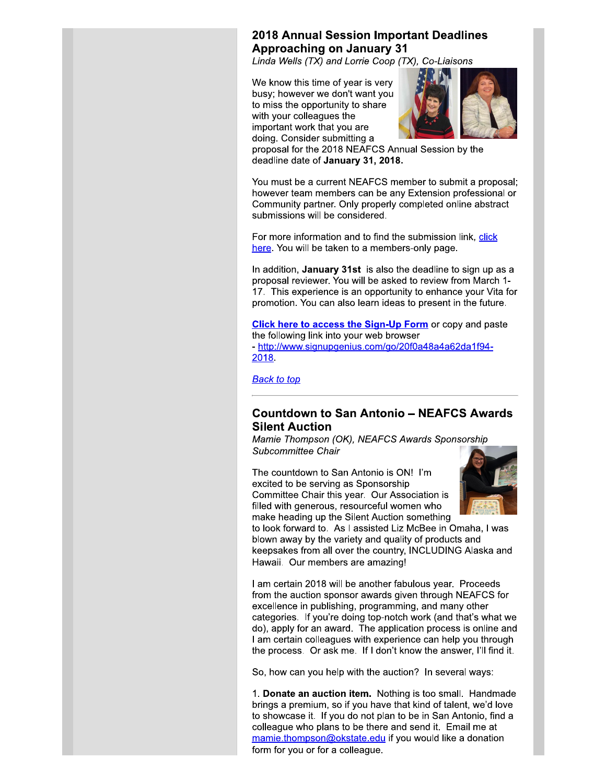# **2018 Annual Session Important Deadlines Approaching on January 31**

Linda Wells (TX) and Lorrie Coop (TX), Co-Liaisons

We know this time of year is very busy; however we don't want you to miss the opportunity to share with your colleagues the important work that you are doing. Consider submitting a



proposal for the 2018 NEAFCS Annual Session by the deadline date of January 31, 2018.

You must be a current NEAFCS member to submit a proposal; however team members can be any Extension professional or Community partner. Only properly completed online abstract submissions will be considered.

For more information and to find the submission link, click here. You will be taken to a members-only page.

In addition, January 31st is also the deadline to sign up as a proposal reviewer. You will be asked to review from March 1-17. This experience is an opportunity to enhance your Vita for promotion. You can also learn ideas to present in the future.

**Click here to access the Sign-Up Form** or copy and paste the following link into your web browser - http://www.signupgenius.com/go/20f0a48a4a62da1f94-2018.

**Back to top** 

# **Countdown to San Antonio - NEAFCS Awards Silent Auction**

Mamie Thompson (OK), NEAFCS Awards Sponsorship Subcommittee Chair

The countdown to San Antonio is ON! I'm excited to be serving as Sponsorship Committee Chair this year. Our Association is filled with generous, resourceful women who make heading up the Silent Auction something



to look forward to. As I assisted Liz McBee in Omaha, I was blown away by the variety and quality of products and keepsakes from all over the country, INCLUDING Alaska and Hawaii. Our members are amazing!

I am certain 2018 will be another fabulous year. Proceeds from the auction sponsor awards given through NEAFCS for excellence in publishing, programming, and many other categories. If you're doing top-notch work (and that's what we do), apply for an award. The application process is online and I am certain colleagues with experience can help you through the process. Or ask me. If I don't know the answer, I'll find it.

So, how can you help with the auction? In several ways:

1. Donate an auction item. Nothing is too small. Handmade brings a premium, so if you have that kind of talent, we'd love to showcase it. If you do not plan to be in San Antonio, find a colleague who plans to be there and send it. Email me at mamie.thompson@okstate.edu if you would like a donation form for you or for a colleague.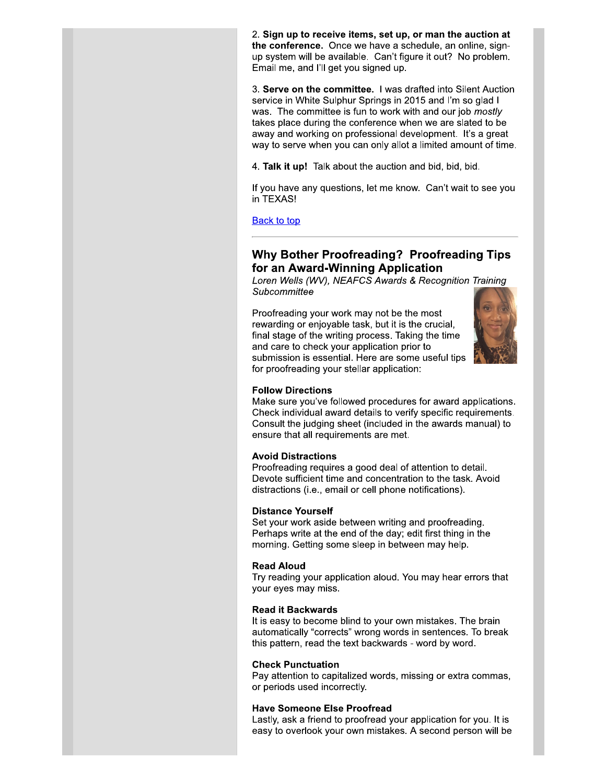2. Sign up to receive items, set up, or man the auction at the conference. Once we have a schedule, an online, signup system will be available. Can't figure it out? No problem. Email me, and I'll get you signed up.

3. Serve on the committee. I was drafted into Silent Auction service in White Sulphur Springs in 2015 and I'm so glad I was. The committee is fun to work with and our job mostly takes place during the conference when we are slated to be away and working on professional development. It's a great way to serve when you can only allot a limited amount of time.

4. Talk it up! Talk about the auction and bid, bid, bid.

If you have any questions, let me know. Can't wait to see you in TEXAS!

**Back to top** 

# **Why Bother Proofreading? Proofreading Tips** for an Award-Winning Application

Loren Wells (WV), NEAFCS Awards & Recognition Training Subcommittee

Proofreading your work may not be the most rewarding or enjoyable task, but it is the crucial, final stage of the writing process. Taking the time and care to check your application prior to submission is essential. Here are some useful tips for proofreading your stellar application:



#### **Follow Directions**

Make sure you've followed procedures for award applications. Check individual award details to verify specific requirements. Consult the judging sheet (included in the awards manual) to ensure that all requirements are met.

## **Avoid Distractions**

Proofreading requires a good deal of attention to detail. Devote sufficient time and concentration to the task. Avoid distractions (i.e., email or cell phone notifications).

#### **Distance Yourself**

Set your work aside between writing and proofreading. Perhaps write at the end of the day; edit first thing in the morning. Getting some sleep in between may help.

#### **Read Aloud**

Try reading your application aloud. You may hear errors that your eyes may miss.

#### **Read it Backwards**

It is easy to become blind to your own mistakes. The brain automatically "corrects" wrong words in sentences. To break this pattern, read the text backwards - word by word.

#### **Check Punctuation**

Pay attention to capitalized words, missing or extra commas, or periods used incorrectly.

#### **Have Someone Else Proofread**

Lastly, ask a friend to proofread your application for you. It is easy to overlook your own mistakes. A second person will be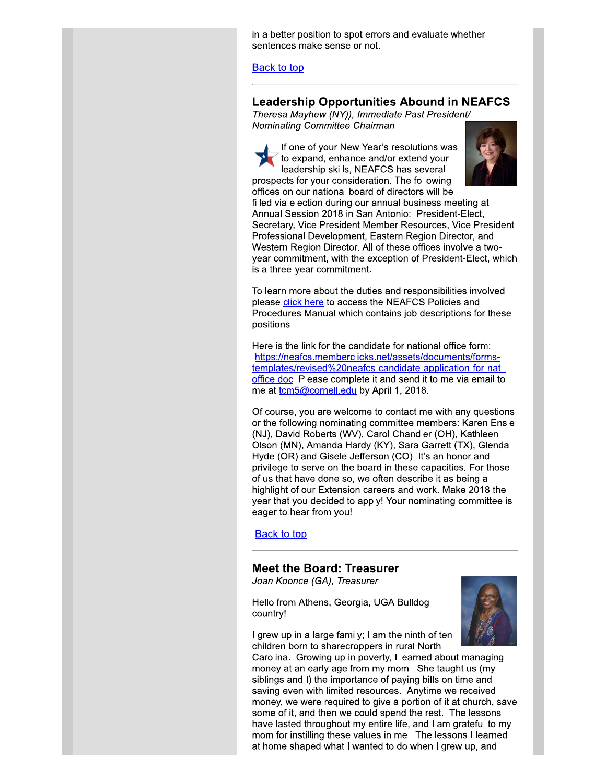in a better position to spot errors and evaluate whether sentences make sense or not.

**Back to top** 

## **Leadership Opportunities Abound in NEAFCS**

Theresa Mayhew (NY)), Immediate Past President/ Nominating Committee Chairman

If one of your New Year's resolutions was to expand, enhance and/or extend your leadership skills, NEAFCS has several prospects for your consideration. The following offices on our national board of directors will be



filled via election during our annual business meeting at Annual Session 2018 in San Antonio: President-Elect. Secretary, Vice President Member Resources, Vice President Professional Development, Eastern Region Director, and Western Region Director. All of these offices involve a twoyear commitment, with the exception of President-Elect, which is a three-year commitment.

To learn more about the duties and responsibilities involved please click here to access the NEAFCS Policies and Procedures Manual which contains job descriptions for these positions.

Here is the link for the candidate for national office form: https://neafcs.memberclicks.net/assets/documents/formstemplates/revised%20neafcs-candidate-application-for-natloffice.doc. Please complete it and send it to me via email to me at tcm5@cornell.edu by April 1, 2018.

Of course, you are welcome to contact me with any questions or the following nominating committee members: Karen Ensle (NJ), David Roberts (WV), Carol Chandler (OH), Kathleen Olson (MN), Amanda Hardy (KY), Sara Garrett (TX), Glenda Hyde (OR) and Gisele Jefferson (CO). It's an honor and privilege to serve on the board in these capacities. For those of us that have done so, we often describe it as being a highlight of our Extension careers and work. Make 2018 the year that you decided to apply! Your nominating committee is eager to hear from you!

**Back to top** 

## **Meet the Board: Treasurer**

Joan Koonce (GA), Treasurer

Hello from Athens, Georgia, UGA Bulldog country!



I grew up in a large family; I am the ninth of ten children born to sharecroppers in rural North

Carolina. Growing up in poverty, I learned about managing money at an early age from my mom. She taught us (my siblings and I) the importance of paying bills on time and saving even with limited resources. Anytime we received money, we were required to give a portion of it at church, save some of it, and then we could spend the rest. The lessons have lasted throughout my entire life, and I am grateful to my mom for instilling these values in me. The lessons I learned at home shaped what I wanted to do when I grew up, and